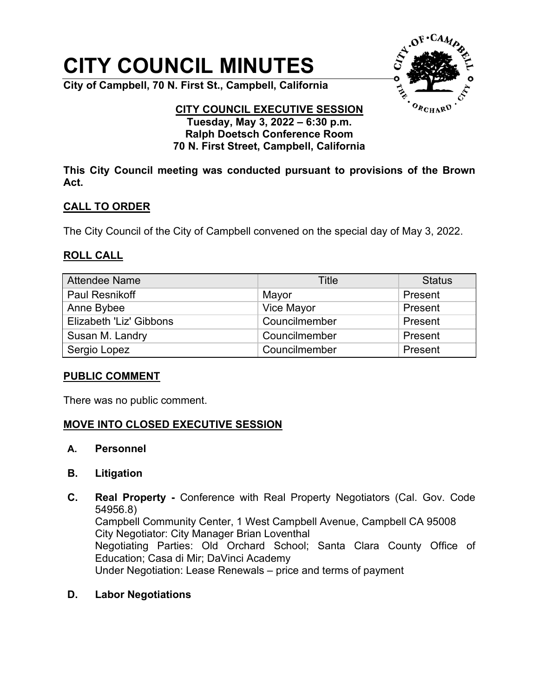# **CITY COUNCIL MINUTES**

**City of Campbell, 70 N. First St., Campbell, California**



#### **CITY COUNCIL EXECUTIVE SESSION Tuesday, May 3, 2022 – 6:30 p.m. Ralph Doetsch Conference Room 70 N. First Street, Campbell, California**

**This City Council meeting was conducted pursuant to provisions of the Brown Act.**

## **CALL TO ORDER**

The City Council of the City of Campbell convened on the special day of May 3, 2022.

#### **ROLL CALL**

| <b>Attendee Name</b>    | Title         | <b>Status</b> |
|-------------------------|---------------|---------------|
| <b>Paul Resnikoff</b>   | Mayor         | Present       |
| Anne Bybee              | Vice Mayor    | Present       |
| Elizabeth 'Liz' Gibbons | Councilmember | Present       |
| Susan M. Landry         | Councilmember | Present       |
| Sergio Lopez            | Councilmember | Present       |

#### **PUBLIC COMMENT**

There was no public comment.

## **MOVE INTO CLOSED EXECUTIVE SESSION**

- **A. Personnel**
- **B. Litigation**
- **C. Real Property -** Conference with Real Property Negotiators (Cal. Gov. Code 54956.8) Campbell Community Center, 1 West Campbell Avenue, Campbell CA 95008 City Negotiator: City Manager Brian Loventhal Negotiating Parties: Old Orchard School; Santa Clara County Office of Education; Casa di Mir; DaVinci Academy Under Negotiation: Lease Renewals – price and terms of payment
- **D. Labor Negotiations**